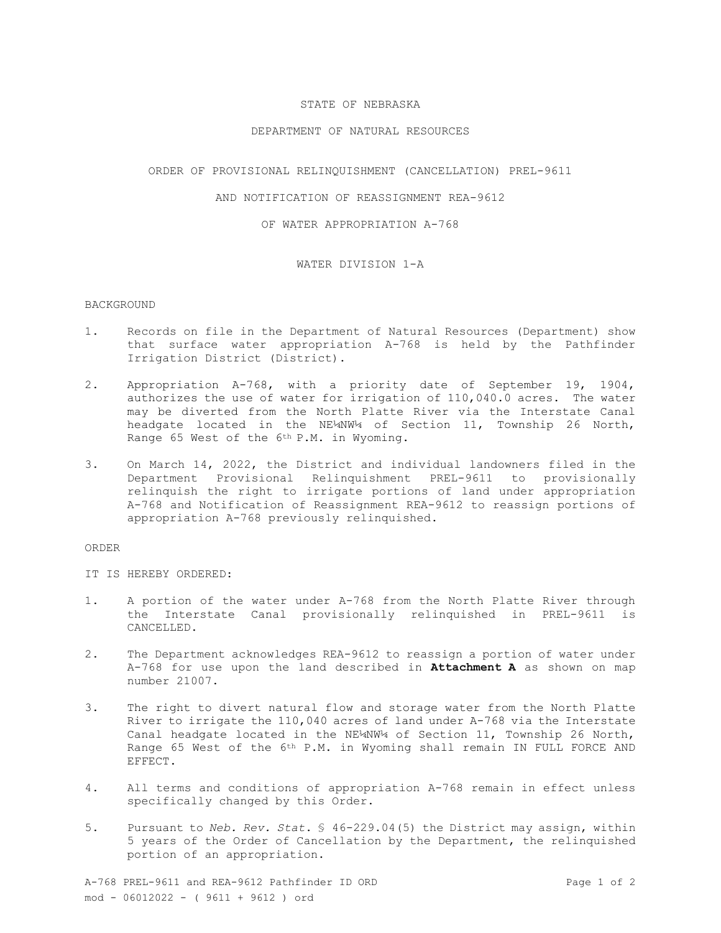# STATE OF NEBRASKA

### DEPARTMENT OF NATURAL RESOURCES

#### ORDER OF PROVISIONAL RELINQUISHMENT (CANCELLATION) PREL-9611

# AND NOTIFICATION OF REASSIGNMENT REA-9612

OF WATER APPROPRIATION A-768

### WATER DIVISION 1-A

## BACKGROUND

- 1. Records on file in the Department of Natural Resources (Department) show that surface water appropriation A-768 is held by the Pathfinder Irrigation District (District).
- 2. Appropriation A-768, with a priority date of September 19, 1904, authorizes the use of water for irrigation of 110,040.0 acres. The water may be diverted from the North Platte River via the Interstate Canal headgate located in the NE¼NW¼ of Section 11, Township 26 North, Range 65 West of the 6th P.M. in Wyoming.
- 3. On March 14, 2022, the District and individual landowners filed in the Department Provisional Relinquishment PREL-9611 to provisionally relinquish the right to irrigate portions of land under appropriation A-768 and Notification of Reassignment REA-9612 to reassign portions of appropriation A-768 previously relinquished.

#### ORDER

IT IS HEREBY ORDERED:

- 1. A portion of the water under A-768 from the North Platte River through the Interstate Canal provisionally relinquished in PREL-9611 is CANCELLED.
- 2. The Department acknowledges REA-9612 to reassign a portion of water under A-768 for use upon the land described in **Attachment A** as shown on map number 21007.
- 3. The right to divert natural flow and storage water from the North Platte River to irrigate the 110,040 acres of land under A-768 via the Interstate Canal headgate located in the NE¼NW¼ of Section 11, Township 26 North, Range 65 West of the 6<sup>th</sup> P.M. in Wyoming shall remain IN FULL FORCE AND EFFECT.
- 4. All terms and conditions of appropriation A-768 remain in effect unless specifically changed by this Order.
- 5. Pursuant to *Neb. Rev. Stat*. § 46-229.04(5) the District may assign, within 5 years of the Order of Cancellation by the Department, the relinquished portion of an appropriation.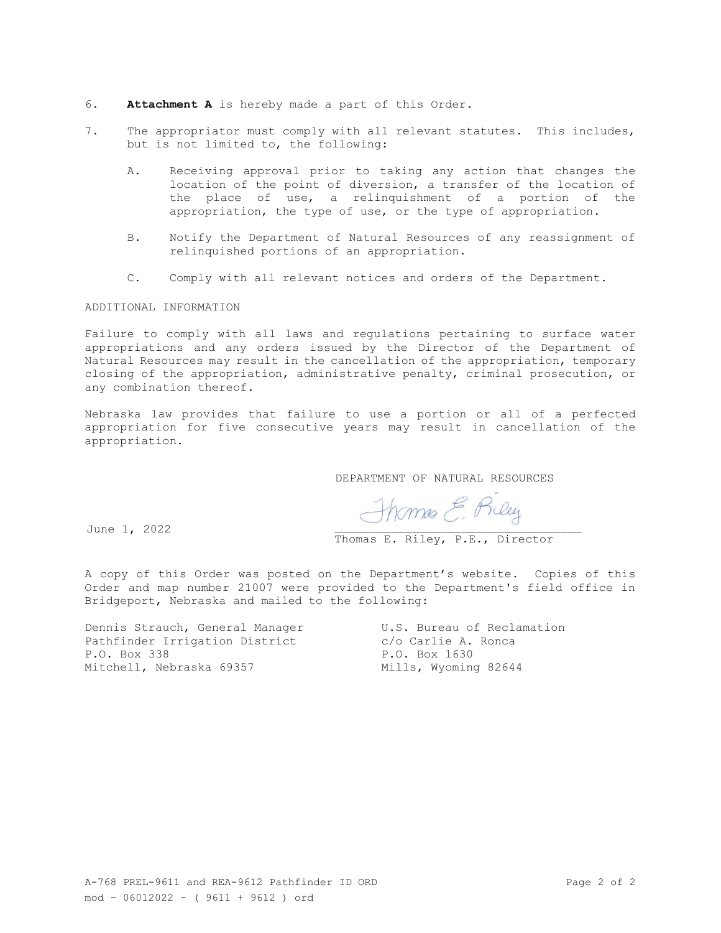- 6. **Attachment A** is hereby made a part of this Order.
- 7. The appropriator must comply with all relevant statutes. This includes, but is not limited to, the following:
	- A. Receiving approval prior to taking any action that changes the location of the point of diversion, a transfer of the location of the place of use, a relinquishment of a portion of the appropriation, the type of use, or the type of appropriation.
	- B. Notify the Department of Natural Resources of any reassignment of relinquished portions of an appropriation.
	- C. Comply with all relevant notices and orders of the Department.

#### ADDITIONAL INFORMATION

Failure to comply with all laws and regulations pertaining to surface water appropriations and any orders issued by the Director of the Department of Natural Resources may result in the cancellation of the appropriation, temporary closing of the appropriation, administrative penalty, criminal prosecution, or any combination thereof.

Nebraska law provides that failure to use a portion or all of a perfected appropriation for five consecutive years may result in cancellation of the appropriation.

DEPARTMENT OF NATURAL RESOURCES

June 1, 2022

Thomes E. Riley

Thomas E. Riley, P.E., Director

A copy of this Order was posted on the Department's website. Copies of this Order and map number 21007 were provided to the Department's field office in Bridgeport, Nebraska and mailed to the following:

Dennis Strauch, General Manager U.S. Bureau of Reclamation Pathfinder Irrigation District c/o Carlie A. Ronca P.O. Box 338 P.O. Box 1630 Mitchell, Nebraska 69357 Mills, Wyoming 82644